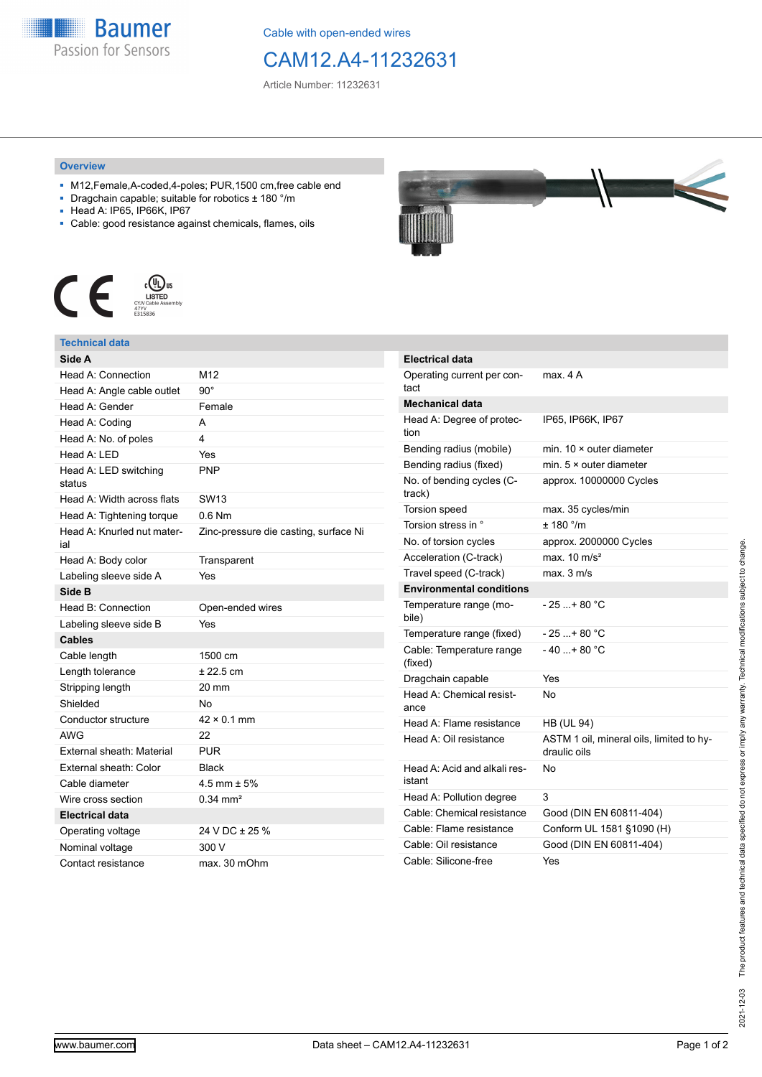

Cable with open-ended wires

CAM12.A4-11232631

Article Number: 11232631

## **Overview**

- M12,Female,A-coded,4-poles; PUR,1500 cm,free cable end
- Dragchain capable; suitable for robotics ± 180 °/m
- Head A: IP65, IP66K, IP67
- Cable: good resistance against chemicals, flames, oils



## **Technical data**

| Side A                            |                                       |
|-----------------------------------|---------------------------------------|
| Head A: Connection                | M12                                   |
| Head A: Angle cable outlet        | $90^{\circ}$                          |
| Head A: Gender                    | Female                                |
| Head A: Coding                    | А                                     |
| Head A: No. of poles              | 4                                     |
| Head A: LED                       | Yes                                   |
| Head A: LED switching<br>status   | <b>PNP</b>                            |
| Head A: Width across flats        | SW <sub>13</sub>                      |
| Head A: Tightening torque         | $0.6$ Nm                              |
| Head A: Knurled nut mater-<br>ial | Zinc-pressure die casting, surface Ni |
| Head A: Body color                | Transparent                           |
| Labeling sleeve side A            | Yes                                   |
| Side B                            |                                       |
| Head B: Connection                | Open-ended wires                      |
| Labeling sleeve side B            | Yes                                   |
| Cables                            |                                       |
| Cable length                      | 1500 cm                               |
| Length tolerance                  | $± 22.5$ cm                           |
| Stripping length                  | 20 mm                                 |
| Shielded                          | No                                    |
| Conductor structure               | $42 \times 0.1$ mm                    |
| <b>AWG</b>                        | 22                                    |
| External sheath: Material         | <b>PUR</b>                            |
| External sheath: Color            | <b>Black</b>                          |
| Cable diameter                    | 4.5 mm $\pm$ 5%                       |
| Wire cross section                | $0.34 \text{ mm}^2$                   |
| <b>Electrical data</b>            |                                       |
| Operating voltage                 | 24 V DC ± 25 %                        |
| Nominal voltage                   | 300 V                                 |
| Contact resistance                | max. 30 mOhm                          |



| Electrical data                        |                                                          |
|----------------------------------------|----------------------------------------------------------|
| Operating current per con-<br>tact     | max. 4 A                                                 |
| <b>Mechanical data</b>                 |                                                          |
| Head A: Degree of protec-<br>tion      | IP65, IP66K, IP67                                        |
| Bending radius (mobile)                | min. $10 \times$ outer diameter                          |
| Bending radius (fixed)                 | min. $5 \times$ outer diameter                           |
| No. of bending cycles (C-<br>track)    | approx. 10000000 Cycles                                  |
| <b>Torsion speed</b>                   | max. 35 cycles/min                                       |
| Torsion stress in °                    | ± 180 °/m                                                |
| No. of torsion cycles                  | approx. 2000000 Cycles                                   |
| Acceleration (C-track)                 | max. $10 \text{ m/s}^2$                                  |
| Travel speed (C-track)                 | max. 3 m/s                                               |
| <b>Environmental conditions</b>        |                                                          |
| Temperature range (mo-<br>bile)        | - 25 + 80 °C                                             |
| Temperature range (fixed)              | - 25 + 80 °C                                             |
| Cable: Temperature range               |                                                          |
| (fixed)                                | $-40+80 °C$                                              |
| Dragchain capable                      | Yes                                                      |
| Head A: Chemical resist-<br>ance       | No                                                       |
| Head A: Flame resistance               | <b>HB (UL 94)</b>                                        |
| Head A: Oil resistance                 | ASTM 1 oil, mineral oils, limited to hy-<br>draulic oils |
| Head A: Acid and alkali res-<br>istant | No                                                       |
| Head A: Pollution degree               | 3                                                        |
| Cable: Chemical resistance             | Good (DIN EN 60811-404)                                  |
| Cable: Flame resistance                | Conform UL 1581 §1090 (H)                                |
| Cable: Oil resistance                  | Good (DIN EN 60811-404)                                  |